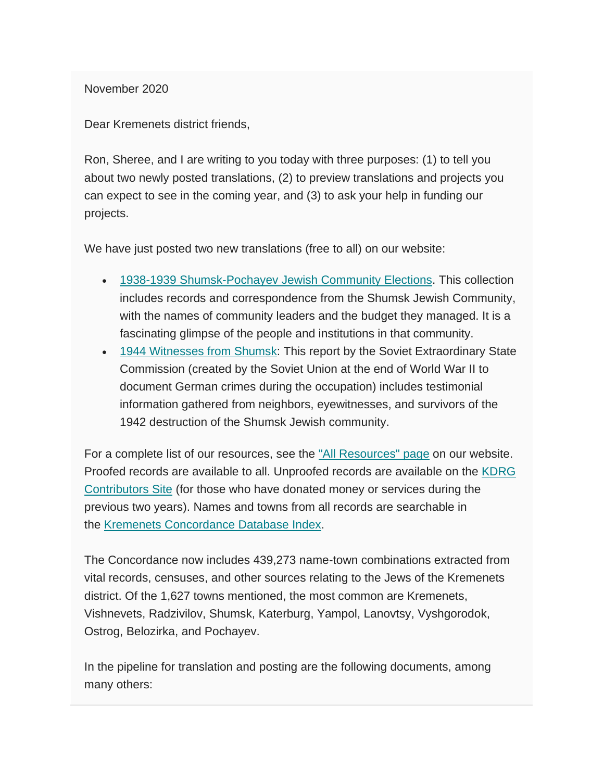November 2020

Dear Kremenets district friends,

Ron, Sheree, and I are writing to you today with three purposes: (1) to tell you about two newly posted translations, (2) to preview translations and projects you can expect to see in the coming year, and (3) to ask your help in funding our projects.

We have just posted two new translations (free to all) on our website:

- [1938-1939 Shumsk-Pochayev Jewish Community Elections.](http://www.kehilalinks.jewishgen.org/Kremenets/web-pages/documents/CA-142-1938-1939-Shumsk-Pochayev-Jewish-Community-Elections.docx) This collection includes records and correspondence from the Shumsk Jewish Community, with the names of community leaders and the budget they managed. It is a fascinating glimpse of the people and institutions in that community.
- [1944 Witnesses from Shumsk:](http://www.kehilalinks.jewishgen.org/Kremenets/web-pages/documents/KDRG-YVA%200113,%201944%20Witnesses%20from%20Shumsk.docx) This report by the Soviet Extraordinary State Commission (created by the Soviet Union at the end of World War II to document German crimes during the occupation) includes testimonial information gathered from neighbors, eyewitnesses, and survivors of the 1942 destruction of the Shumsk Jewish community.

For a complete list of our resources, see the ["All Resources" page](https://kehilalinks.jewishgen.org/Kremenets/web-pages/all-resources.html) on our website. Proofed records are available to all. Unproofed records are available on the KDRG [Contributors Site](https://sites.google.com/site/kdrgcontributors/) (for those who have donated money or services during the previous two years). Names and towns from all records are searchable in the [Kremenets Concordance Database Index.](https://kehilalinks.jewishgen.org/Kremenets/web-pages/database/krem_search_frm.html)

The Concordance now includes 439,273 name-town combinations extracted from vital records, censuses, and other sources relating to the Jews of the Kremenets district. Of the 1,627 towns mentioned, the most common are Kremenets, Vishnevets, Radzivilov, Shumsk, Katerburg, Yampol, Lanovtsy, Vyshgorodok, Ostrog, Belozirka, and Pochayev.

In the pipeline for translation and posting are the following documents, among many others: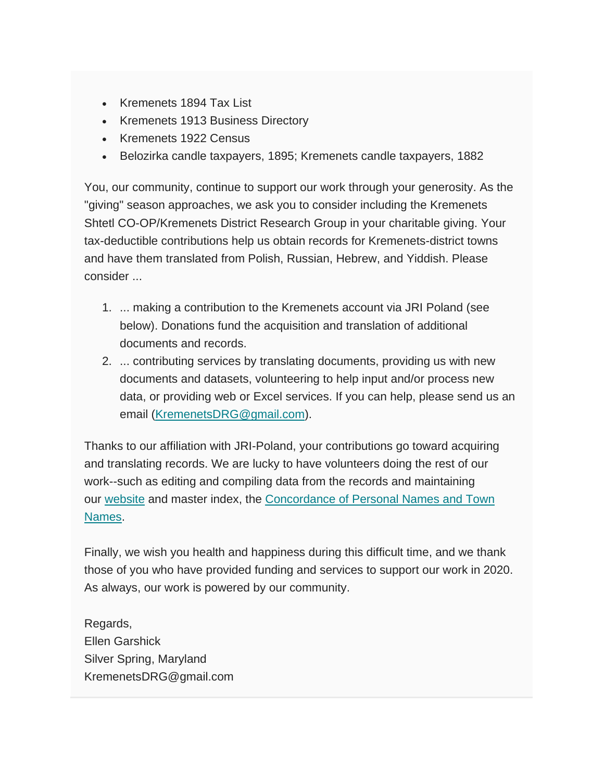- Kremenets 1894 Tax List
- Kremenets 1913 Business Directory
- Kremenets 1922 Census
- Belozirka candle taxpayers, 1895; Kremenets candle taxpayers, 1882

You, our community, continue to support our work through your generosity. As the "giving" season approaches, we ask you to consider including the Kremenets Shtetl CO-OP/Kremenets District Research Group in your charitable giving. Your tax-deductible contributions help us obtain records for Kremenets-district towns and have them translated from Polish, Russian, Hebrew, and Yiddish. Please consider ...

- 1. ... making a contribution to the Kremenets account via JRI Poland (see below). Donations fund the acquisition and translation of additional documents and records.
- 2. ... contributing services by translating documents, providing us with new documents and datasets, volunteering to help input and/or process new data, or providing web or Excel services. If you can help, please send us an email [\(KremenetsDRG@gmail.com\)](mailto:KremenetsDRG@gmail.com).

Thanks to our affiliation with JRI-Poland, your contributions go toward acquiring and translating records. We are lucky to have volunteers doing the rest of our work--such as editing and compiling data from the records and maintaining our [website](https://kehilalinks.jewishgen.org/Kremenets/web-pages/about-kremenets.html) and master index, the [Concordance of Personal Names and Town](https://kehilalinks.jewishgen.org/Kremenets/web-pages/master-surnames.html)  [Names.](https://kehilalinks.jewishgen.org/Kremenets/web-pages/master-surnames.html)

Finally, we wish you health and happiness during this difficult time, and we thank those of you who have provided funding and services to support our work in 2020. As always, our work is powered by our community.

Regards, Ellen Garshick Silver Spring, Maryland KremenetsDRG@gmail.com